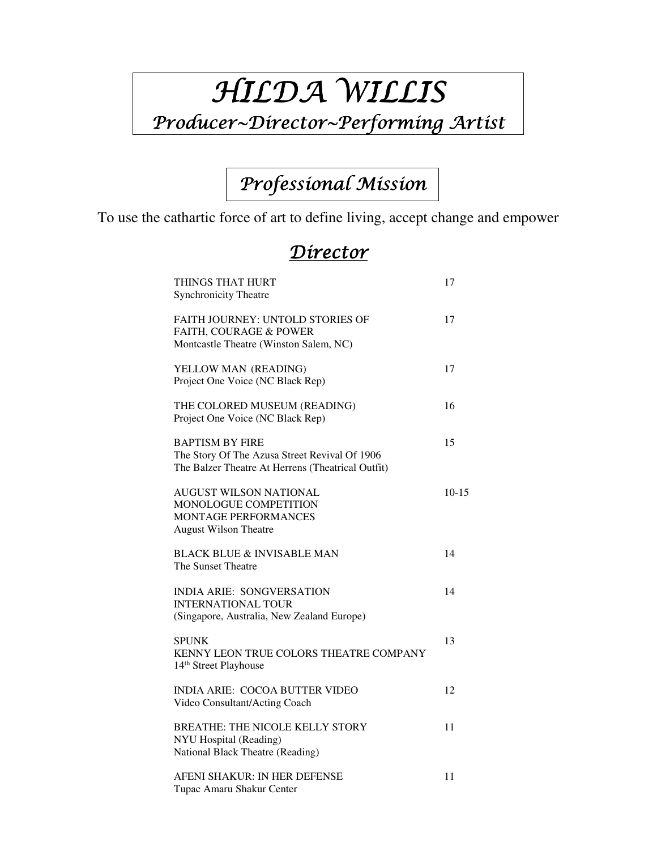# HILDA WILLIS

## Producer~Director~Performing Artist

## Professional Mission

To use the cathartic force of art to define living, accept change and empower

#### Director

| THINGS THAT HURT<br><b>Synchronicity Theatre</b>                                                                             | 17      |
|------------------------------------------------------------------------------------------------------------------------------|---------|
| FAITH JOURNEY: UNTOLD STORIES OF<br>FAITH, COURAGE & POWER<br>Montcastle Theatre (Winston Salem, NC)                         | 17      |
| YELLOW MAN (READING)<br>Project One Voice (NC Black Rep)                                                                     | 17      |
| THE COLORED MUSEUM (READING)<br>Project One Voice (NC Black Rep)                                                             | 16      |
| <b>BAPTISM BY FIRE</b><br>The Story Of The Azusa Street Revival Of 1906<br>The Balzer Theatre At Herrens (Theatrical Outfit) | 15      |
| AUGUST WILSON NATIONAL<br>MONOLOGUE COMPETITION<br>MONTAGE PERFORMANCES<br><b>August Wilson Theatre</b>                      | $10-15$ |
| <b>BLACK BLUE &amp; INVISABLE MAN</b><br>The Sunset Theatre                                                                  | 14      |
| <b>INDIA ARIE: SONGVERSATION</b><br><b>INTERNATIONAL TOUR</b><br>(Singapore, Australia, New Zealand Europe)                  | 14      |
| <b>SPUNK</b><br>KENNY LEON TRUE COLORS THEATRE COMPANY<br>14 <sup>th</sup> Street Playhouse                                  | 13      |
| <b>INDIA ARIE: COCOA BUTTER VIDEO</b><br>Video Consultant/Acting Coach                                                       | 12      |
| <b>BREATHE: THE NICOLE KELLY STORY</b><br>NYU Hospital (Reading)<br><b>National Black Theatre (Reading)</b>                  | 11      |
| AFENI SHAKUR: IN HER DEFENSE<br>Tupac Amaru Shakur Center                                                                    | 11      |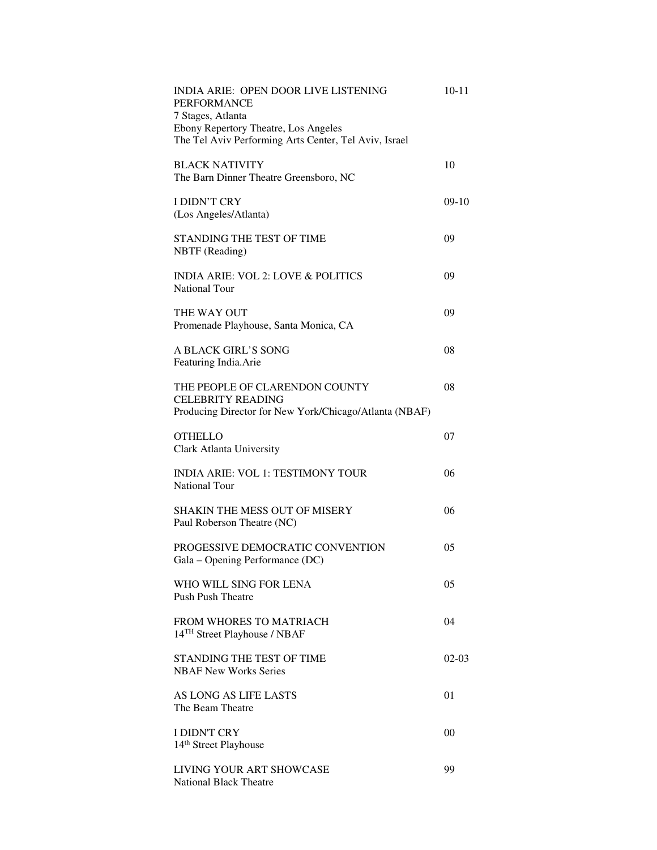| INDIA ARIE: OPEN DOOR LIVE LISTENING<br><b>PERFORMANCE</b><br>7 Stages, Atlanta<br>Ebony Repertory Theatre, Los Angeles<br>The Tel Aviv Performing Arts Center, Tel Aviv, Israel | $10 - 11$ |
|----------------------------------------------------------------------------------------------------------------------------------------------------------------------------------|-----------|
| <b>BLACK NATIVITY</b><br>The Barn Dinner Theatre Greensboro, NC                                                                                                                  | 10        |
| I DIDN'T CRY<br>(Los Angeles/Atlanta)                                                                                                                                            | $09-10$   |
| STANDING THE TEST OF TIME<br>NBTF (Reading)                                                                                                                                      | 09        |
| <b>INDIA ARIE: VOL 2: LOVE &amp; POLITICS</b><br><b>National Tour</b>                                                                                                            | 09        |
| THE WAY OUT<br>Promenade Playhouse, Santa Monica, CA                                                                                                                             | 09        |
| A BLACK GIRL'S SONG<br>Featuring India.Arie                                                                                                                                      | 08        |
| THE PEOPLE OF CLARENDON COUNTY<br><b>CELEBRITY READING</b><br>Producing Director for New York/Chicago/Atlanta (NBAF)                                                             | 08        |
| <b>OTHELLO</b><br>Clark Atlanta University                                                                                                                                       | 07        |
| <b>INDIA ARIE: VOL 1: TESTIMONY TOUR</b><br>National Tour                                                                                                                        | 06        |
| <b>SHAKIN THE MESS OUT OF MISERY</b><br>Paul Roberson Theatre (NC)                                                                                                               | 06        |
| PROGESSIVE DEMOCRATIC CONVENTION<br>Gala - Opening Performance (DC)                                                                                                              | 05        |
| WHO WILL SING FOR LENA<br><b>Push Push Theatre</b>                                                                                                                               | 05        |
| <b>FROM WHORES TO MATRIACH</b><br>14 <sup>TH</sup> Street Playhouse / NBAF                                                                                                       | 04        |
| STANDING THE TEST OF TIME<br><b>NBAF New Works Series</b>                                                                                                                        | $02-03$   |
| AS LONG AS LIFE LASTS<br>The Beam Theatre                                                                                                                                        | 01        |
| I DIDN'T CRY<br>14 <sup>th</sup> Street Playhouse                                                                                                                                | 00        |
| LIVING YOUR ART SHOWCASE<br><b>National Black Theatre</b>                                                                                                                        | 99        |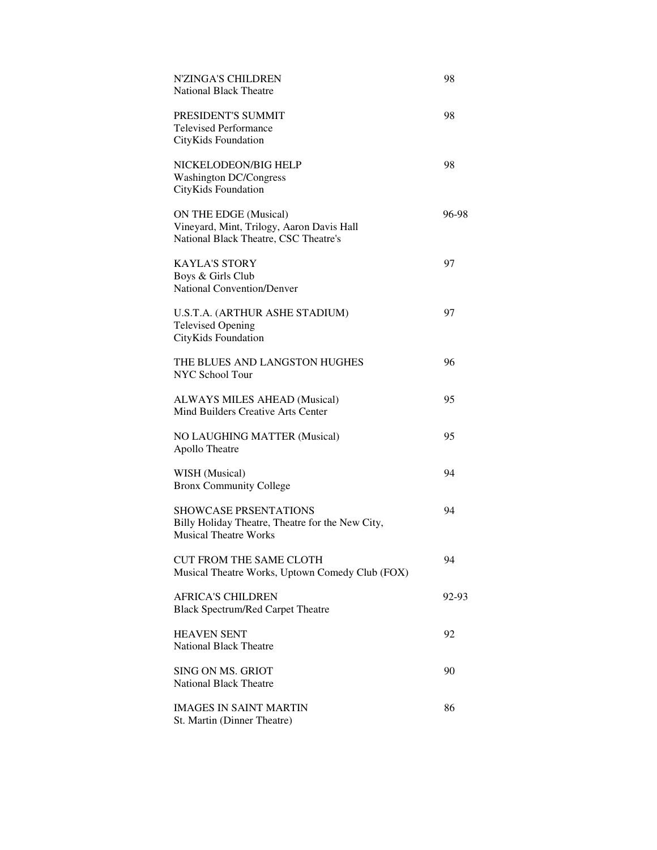| <b>N'ZINGA'S CHILDREN</b><br><b>National Black Theatre</b>                                                       | 98    |
|------------------------------------------------------------------------------------------------------------------|-------|
| PRESIDENT'S SUMMIT<br><b>Televised Performance</b><br>CityKids Foundation                                        | 98    |
| NICKELODEON/BIG HELP<br><b>Washington DC/Congress</b><br>CityKids Foundation                                     | 98    |
| ON THE EDGE (Musical)<br>Vineyard, Mint, Trilogy, Aaron Davis Hall<br>National Black Theatre, CSC Theatre's      | 96-98 |
| <b>KAYLA'S STORY</b><br>Boys & Girls Club<br><b>National Convention/Denver</b>                                   | 97    |
| U.S.T.A. (ARTHUR ASHE STADIUM)<br><b>Televised Opening</b><br>CityKids Foundation                                | 97    |
| THE BLUES AND LANGSTON HUGHES<br><b>NYC School Tour</b>                                                          | 96    |
| ALWAYS MILES AHEAD (Musical)<br>Mind Builders Creative Arts Center                                               | 95    |
| NO LAUGHING MATTER (Musical)<br>Apollo Theatre                                                                   | 95    |
| WISH (Musical)<br><b>Bronx Community College</b>                                                                 | 94    |
| <b>SHOWCASE PRSENTATIONS</b><br>Billy Holiday Theatre, Theatre for the New City,<br><b>Musical Theatre Works</b> | 94    |
| <b>CUT FROM THE SAME CLOTH</b><br>Musical Theatre Works, Uptown Comedy Club (FOX)                                | 94    |
| <b>AFRICA'S CHILDREN</b><br><b>Black Spectrum/Red Carpet Theatre</b>                                             | 92-93 |
| <b>HEAVEN SENT</b><br><b>National Black Theatre</b>                                                              | 92    |
| <b>SING ON MS. GRIOT</b><br><b>National Black Theatre</b>                                                        | 90    |
| <b>IMAGES IN SAINT MARTIN</b><br>St. Martin (Dinner Theatre)                                                     | 86    |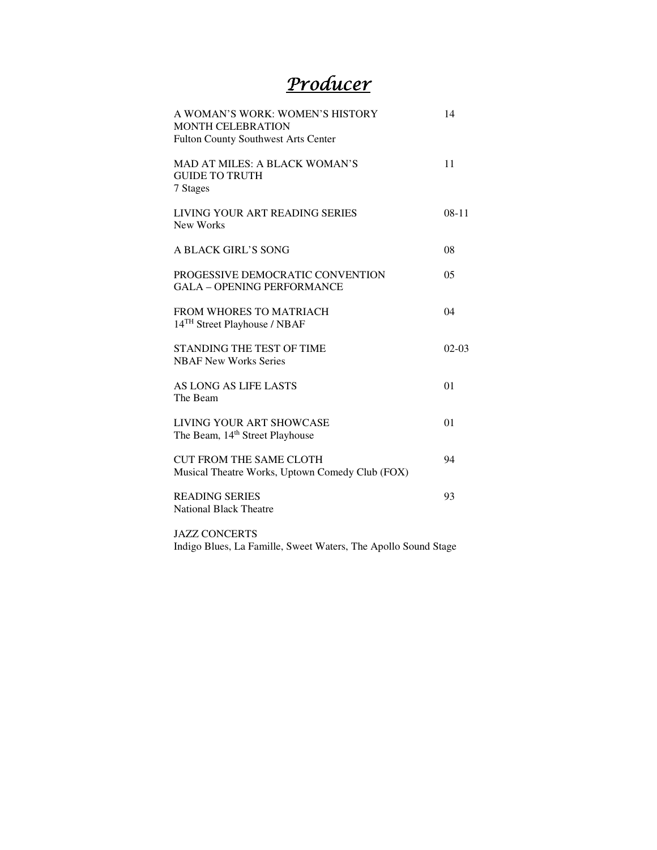### Producer

| A WOMAN'S WORK: WOMEN'S HISTORY<br><b>MONTH CELEBRATION</b><br><b>Fulton County Southwest Arts Center</b> | 14             |
|-----------------------------------------------------------------------------------------------------------|----------------|
| MAD AT MILES: A BLACK WOMAN'S<br><b>GUIDE TO TRUTH</b><br>7 Stages                                        | 11             |
| LIVING YOUR ART READING SERIES<br>New Works                                                               | $08-11$        |
| A BLACK GIRL'S SONG                                                                                       | 08             |
| PROGESSIVE DEMOCRATIC CONVENTION<br><b>GALA - OPENING PERFORMANCE</b>                                     | 0 <sub>5</sub> |
| FROM WHORES TO MATRIACH<br>14 <sup>TH</sup> Street Playhouse / NBAF                                       | 04             |
| STANDING THE TEST OF TIME<br><b>NBAF New Works Series</b>                                                 | $02-03$        |
| AS LONG AS LIFE LASTS<br>The Beam                                                                         | 01             |
| LIVING YOUR ART SHOWCASE<br>The Beam, 14 <sup>th</sup> Street Playhouse                                   | 01             |
| <b>CUT FROM THE SAME CLOTH</b><br>Musical Theatre Works, Uptown Comedy Club (FOX)                         | 94             |
| <b>READING SERIES</b><br><b>National Black Theatre</b>                                                    | 93             |
| <b>JAZZ CONCERTS</b>                                                                                      |                |

Indigo Blues, La Famille, Sweet Waters, The Apollo Sound Stage